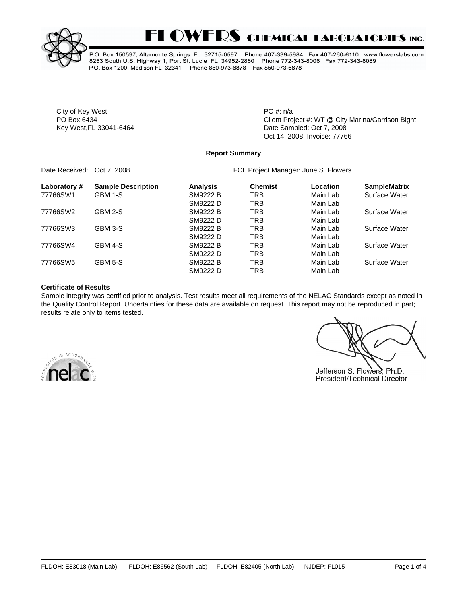



P.O. Box 150597, Altamonte Springs FL 32715-0597 Phone 407-339-5984 Fax 407-260-6110 www.flowerslabs.com 8253 South U.S. Highway 1, Port St. Lucie FL 34952-2860 Phone 772-343-8006 Fax 772-343-8089 P.O. Box 1200, Madison FL 32341 Phone 850-973-6878 Fax 850-973-6878

City of Key West **PO** #: n/a

PO Box 6434 **PO Box 6434** Client Project #: WT @ City Marina/Garrison Bight Key West, FL 33041-6464 **Date Sampled: Oct 7, 2008** Oct 14, 2008; Invoice: 77766

### **Report Summary**

Date Received: Oct 7, 2008 **FCL Project Manager: June S. Flowers** 

| Laboratory# | <b>Sample Description</b> | <b>Analysis</b> | <b>Chemist</b> | Location | <b>SampleMatrix</b> |
|-------------|---------------------------|-----------------|----------------|----------|---------------------|
| 77766SW1    | GBM 1-S                   | <b>SM9222 B</b> | <b>TRB</b>     | Main Lab | Surface Water       |
|             |                           | SM9222 D        | TRB            | Main Lab |                     |
| 77766SW2    | GBM 2-S                   | <b>SM9222 B</b> | TRB            | Main Lab | Surface Water       |
|             |                           | SM9222 D        | <b>TRB</b>     | Main Lab |                     |
| 77766SW3    | GBM 3-S                   | <b>SM9222 B</b> | TRB            | Main Lab | Surface Water       |
|             |                           | SM9222 D        | TRB            | Main Lab |                     |
| 77766SW4    | GBM 4-S                   | <b>SM9222 B</b> | <b>TRB</b>     | Main Lab | Surface Water       |
|             |                           | SM9222 D        | TRB            | Main Lab |                     |
| 77766SW5    | GBM 5-S                   | <b>SM9222 B</b> | TRB            | Main Lab | Surface Water       |
|             |                           | SM9222 D        | TRB            | Main Lab |                     |

#### **Certificate of Results**

Sample integrity was certified prior to analysis. Test results meet all requirements of the NELAC Standards except as noted in the Quality Control Report. Uncertainties for these data are available on request. This report may not be reproduced in part; results relate only to items tested.





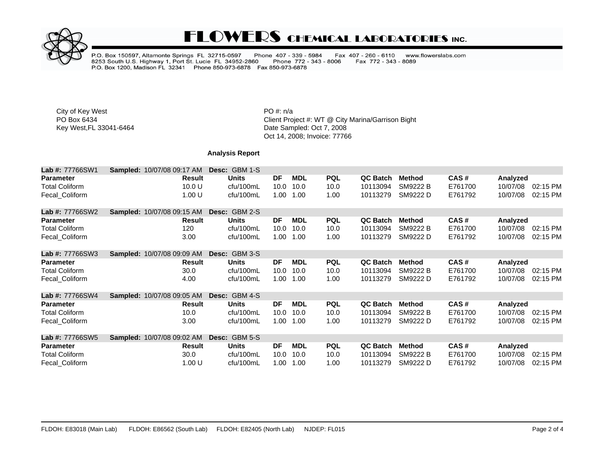

# **FLOWERS CHEMICAL LABORATORIES INC.**

P.O. Box 150597, Altamonte Springs FL 32715-0597 Phone 407 - 339 - 5984<br>8253 South U.S. Highway 1, Port St. Lucie FL 34952-2860 Phone 772 - 343<br>P.O. Box 1200, Madison FL 32341 Phone 850-973-6878 Fax 850-973-6878 Fax 407 - 260 - 6110 www.flowerslabs.com Fax 772 - 343 - 8089 Phone 772 - 343 - 8006

City of Key West **PO** #: n/a

PO Box 6434<br>
FO Box 6434<br>
Key West,FL 33041-6464<br>
Key West,FL 33041-6464<br>
Client Project #: WT @ City Marina/Garrison Bight Date Sampled: Oct 7, 2008 Oct 14, 2008; Invoice: 77766

## **Analysis Report**

| Lab #: 77766SW1        | <b>Sampled: 10/07/08 09:17 AM</b> | GBM 1-S<br>Desc: |      |            |            |                 |                 |         |          |          |
|------------------------|-----------------------------------|------------------|------|------------|------------|-----------------|-----------------|---------|----------|----------|
| <b>Parameter</b>       | Result                            | <b>Units</b>     | DF   | <b>MDL</b> | <b>PQL</b> | <b>QC Batch</b> | <b>Method</b>   | CAS#    | Analyzed |          |
| <b>Total Coliform</b>  | 10.0 U                            | cfu/100mL        | 10.0 | 10.0       | 10.0       | 10113094        | <b>SM9222 B</b> | E761700 | 10/07/08 | 02:15 PM |
| Fecal Coliform         | 1.00 U                            | cfu/100mL        | 1.00 | 1.00       | 1.00       | 10113279        | SM9222 D        | E761792 | 10/07/08 | 02:15 PM |
| <b>Lab #: 77766SW2</b> | <b>Sampled: 10/07/08 09:15 AM</b> | Desc: GBM 2-S    |      |            |            |                 |                 |         |          |          |
| <b>Parameter</b>       | <b>Result</b>                     | <b>Units</b>     | DF   | <b>MDL</b> | <b>PQL</b> | <b>QC Batch</b> | Method          | CAS#    | Analyzed |          |
| <b>Total Coliform</b>  | 120                               | cfu/100mL        | 10.0 | 10.0       | 10.0       | 10113094        | <b>SM9222 B</b> | E761700 | 10/07/08 | 02:15 PM |
| Fecal_Coliform         | 3.00                              | cfu/100mL        | 1.00 | 1.00       | 1.00       | 10113279        | SM9222 D        | E761792 | 10/07/08 | 02:15 PM |
| <b>Lab #: 77766SW3</b> | <b>Sampled: 10/07/08 09:09 AM</b> | GBM 3-S<br>Desc: |      |            |            |                 |                 |         |          |          |
| <b>Parameter</b>       | <b>Result</b>                     | <b>Units</b>     | DF   | <b>MDL</b> | <b>PQL</b> | <b>QC Batch</b> | <b>Method</b>   | CAS#    | Analyzed |          |
| <b>Total Coliform</b>  | 30.0                              | cfu/100mL        | 10.0 | 10.0       | 10.0       | 10113094        | <b>SM9222 B</b> | E761700 | 10/07/08 | 02:15 PM |
| Fecal_Coliform         | 4.00                              | cfu/100mL        | 1.00 | 1.00       | 1.00       | 10113279        | SM9222 D        | E761792 | 10/07/08 | 02:15 PM |
| <b>Lab #: 77766SW4</b> | <b>Sampled: 10/07/08 09:05 AM</b> | GBM 4-S<br>Desc: |      |            |            |                 |                 |         |          |          |
| <b>Parameter</b>       | <b>Result</b>                     | <b>Units</b>     | DF   | <b>MDL</b> | <b>PQL</b> | <b>QC Batch</b> | <b>Method</b>   | CAS#    | Analyzed |          |
| <b>Total Coliform</b>  | 10.0                              | cfu/100mL        | 10.0 | 10.0       | 10.0       | 10113094        | SM9222 B        | E761700 | 10/07/08 | 02:15 PM |
| Fecal_Coliform         | 3.00                              | cfu/100mL        | 1.00 | 1.00       | 1.00       | 10113279        | SM9222 D        | E761792 | 10/07/08 | 02:15 PM |
| <b>Lab #: 77766SW5</b> | Sampled: 10/07/08 09:02 AM        | Desc: GBM 5-S    |      |            |            |                 |                 |         |          |          |
| <b>Parameter</b>       | <b>Result</b>                     | <b>Units</b>     | DF   | <b>MDL</b> | <b>PQL</b> | <b>QC Batch</b> | <b>Method</b>   | CAS#    | Analyzed |          |
| Total Coliform         | 30.0                              | cfu/100mL        | 10.0 | 10.0       | 10.0       | 10113094        | <b>SM9222 B</b> | E761700 | 10/07/08 | 02:15 PM |
| Fecal Coliform         | 1.00 U                            | cfu/100mL        | 1.00 | 1.00       | 1.00       | 10113279        | SM9222 D        | E761792 | 10/07/08 | 02:15 PM |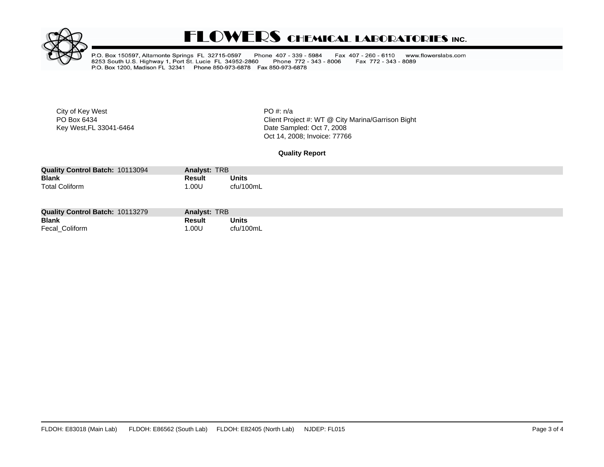

# **FLOWERS CHEMICAL LABORATORIES INC.**

P.O. Box 150597, Altamonte Springs FL 32715-0597 Phone 407 - 339 - 5984<br>8253 South U.S. Highway 1, Port St. Lucie FL 34952-2860 Phone 772 - 343<br>P.O. Box 1200, Madison FL 32341 Phone 850-973-6878 Fax 850-973-6878 Fax 407 - 260 - 6110 www.flowerslabs.com Fax 772 - 343 - 8089 Phone 772 - 343 - 8006

City of Key West **PO** #: n/a

PO Box 6434<br>
FO Box 6434<br>
Key West,FL 33041-6464<br>
Key West,FL 33041-6464<br>
Client Project #: WT @ City Marina/Garrison Bight Date Sampled: Oct 7, 2008 Oct 14, 2008; Invoice: 77766

**Quality Report**

| <b>Quality Control Batch: 10113094</b> | Analyst: TRB |              |
|----------------------------------------|--------------|--------------|
| <b>Blank</b>                           | Result       | <b>Units</b> |
| <b>Total Coliform</b>                  | .00U         | cfu/100mL    |

| <b>Quality Control Batch: 10113279</b> | Analyst: TRB |              |
|----------------------------------------|--------------|--------------|
| <b>Blank</b>                           | Result       | <b>Units</b> |
| Fecal_Coliform                         | .00U         | cfu/100mL    |